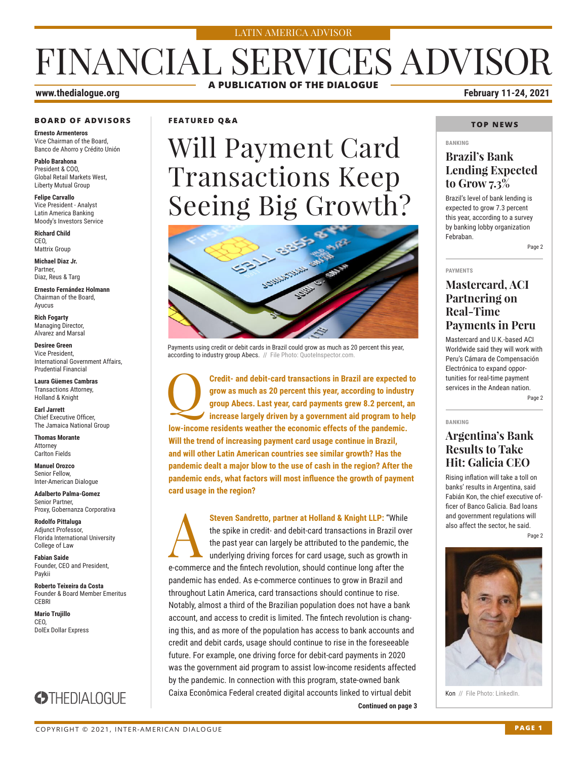#### LATIN AMERICA ADVISOR

### FINANCIAL SERVICES ADVISOR **A PUBLICATION OF THE DIALOGUE**

#### **www.thedialogue.org February 11-24, 2021**

### **BOARD OF ADVISORS**

**Ernesto Armenteros** Vice Chairman of the Board, Banco de Ahorro y Crédito Unión

**Pablo Barahona** President & COO, Global Retail Markets West, Liberty Mutual Group

**Felipe Carvallo** Vice President - Analyst Latin America Banking Moody's Investors Service

**Richard Child** CEO, Mattrix Group

**Michael Diaz Jr.** Partner, Diaz, Reus & Targ

**Ernesto Fernández Holmann** Chairman of the Board, Ayucus

**Rich Fogarty** Managing Director, Alvarez and Marsal

**Desiree Green** Vice President, International Government Affairs, Prudential Financial

**Laura Güemes Cambras** Transactions Attorney, Holland & Knight

**Earl Jarrett** Chief Executive Officer, The Jamaica National Group

**Thomas Morante** Attorney Carlton Fields

**Manuel Orozco** Senior Fellow, Inter-American Dialogue

**Adalberto Palma-Gomez** Senior Partner, Proxy, Gobernanza Corporativa

**Rodolfo Pittaluga** Adjunct Professor, Florida International University College of Law

**Fabian Saide**  Founder, CEO and President, Paykii

**Roberto Teixeira da Costa** Founder & Board Member Emeritus **CERRI** 

**Mario Trujillo** CEO, DolEx Dollar Express



#### **FEATURED Q&A**

## Will Payment Card Transactions Keep Seeing Big Growth?



Payments using credit or debit cards in Brazil could grow as much as 20 percent this year, according to industry group Abecs. // File Photo: QuoteInspector.com.

Q**Credit- and debit-card transactions in Brazil are expected to grow as much as 20 percent this year, according to industry group Abecs. Last year, card payments grew 8.2 percent, an increase largely driven by a government aid program to help low-income residents weather the economic effects of the pandemic. Will the trend of increasing payment card usage continue in Brazil, and will other Latin American countries see similar growth? Has the pandemic dealt a major blow to the use of cash in the region? After the pandemic ends, what factors will most influence the growth of payment card usage in the region?**

**Steven Sandretto, partner at Holland & Knight LLP:** "While the spike in credit- and debit-card transactions in Brazil over the past year can largely be attributed to the pandemic, the underlying driving forces for card us the spike in credit- and debit-card transactions in Brazil over the past year can largely be attributed to the pandemic, the underlying driving forces for card usage, such as growth in e-commerce and the fintech revolution, should continue long after the pandemic has ended. As e-commerce continues to grow in Brazil and throughout Latin America, card transactions should continue to rise. Notably, almost a third of the Brazilian population does not have a bank account, and access to credit is limited. The fintech revolution is changing this, and as more of the population has access to bank accounts and credit and debit cards, usage should continue to rise in the foreseeable future. For example, one driving force for debit-card payments in 2020 was the government aid program to assist low-income residents affected by the pandemic. In connection with this program, state-owned bank Caixa Econômica Federal created digital accounts linked to virtual debit

#### **TOP NEWS**

#### **BANKING Brazil's Bank Lending Expected**

**to Grow 7.3%**  Brazil's level of bank lending is expected to grow 7.3 percent this year, according to a survey by banking lobby organization

Page 2

#### **PAYMENTS**

Febraban.

### **Mastercard, ACI Partnering on Real-Time Payments in Peru**

Mastercard and U.K.-based ACI Worldwide said they will work with Peru's Cámara de Compensación Electrónica to expand opportunities for real-time payment services in the Andean nation.

Page 2

#### **BANKING**

#### **Argentina's Bank Results to Take Hit: Galicia CEO**

Rising inflation will take a toll on banks' results in Argentina, said Fabián Kon, the chief executive officer of Banco Galicia. Bad loans and government regulations will also affect the sector, he said.

Page 2



Kon // File Photo: LinkedIn.

**Continued on page 3**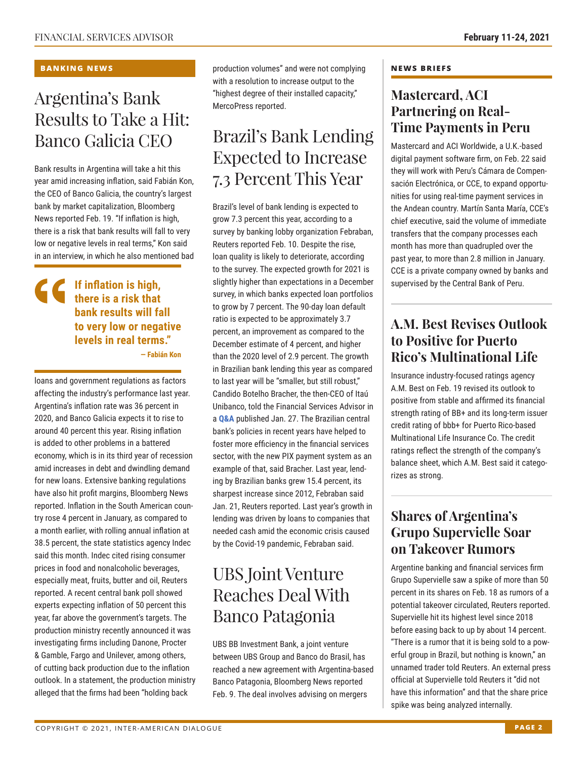#### **BANKING NEWS**

### Argentina's Bank Results to Take a Hit: Banco Galicia CEO

Bank results in Argentina will take a hit this year amid increasing inflation, said Fabián Kon, the CEO of Banco Galicia, the country's largest bank by market capitalization, Bloomberg News reported Feb. 19. "If inflation is high, there is a risk that bank results will fall to very low or negative levels in real terms," Kon said in an interview, in which he also mentioned bad

#### **If inflation is high, there is a risk that bank results will fall to very low or negative levels in real terms." — Fabián Kon**

loans and government regulations as factors affecting the industry's performance last year. Argentina's inflation rate was 36 percent in 2020, and Banco Galicia expects it to rise to around 40 percent this year. Rising inflation is added to other problems in a battered economy, which is in its third year of recession amid increases in debt and dwindling demand for new loans. Extensive banking regulations have also hit profit margins, Bloomberg News reported. Inflation in the South American country rose 4 percent in January, as compared to a month earlier, with rolling annual inflation at 38.5 percent, the state statistics agency Indec said this month. Indec cited rising consumer prices in food and nonalcoholic beverages, especially meat, fruits, butter and oil, Reuters reported. A recent central bank poll showed experts expecting inflation of 50 percent this year, far above the government's targets. The production ministry recently announced it was investigating firms including Danone, Procter & Gamble, Fargo and Unilever, among others, of cutting back production due to the inflation outlook. In a statement, the production ministry alleged that the firms had been "holding back

production volumes" and were not complying with a resolution to increase output to the "highest degree of their installed capacity," MercoPress reported.

### Brazil's Bank Lending Expected to Increase 7.3 Percent This Year

Brazil's level of bank lending is expected to grow 7.3 percent this year, according to a survey by banking lobby organization Febraban, Reuters reported Feb. 10. Despite the rise, loan quality is likely to deteriorate, according to the survey. The expected growth for 2021 is slightly higher than expectations in a December survey, in which banks expected loan portfolios to grow by 7 percent. The 90-day loan default ratio is expected to be approximately 3.7 percent, an improvement as compared to the December estimate of 4 percent, and higher than the 2020 level of 2.9 percent. The growth in Brazilian bank lending this year as compared to last year will be "smaller, but still robust," Candido Botelho Bracher, the then-CEO of Itaú Unibanco, told the Financial Services Advisor in a **[Q&A](http://www.thedialogue.org/wp-content/uploads/2021/01/FSA210127.pdf)** published Jan. 27. The Brazilian central bank's policies in recent years have helped to foster more efficiency in the financial services sector, with the new PIX payment system as an example of that, said Bracher. Last year, lending by Brazilian banks grew 15.4 percent, its sharpest increase since 2012, Febraban said Jan. 21, Reuters reported. Last year's growth in lending was driven by loans to companies that needed cash amid the economic crisis caused by the Covid-19 pandemic, Febraban said.

### UBS Joint Venture Reaches Deal With Banco Patagonia

UBS BB Investment Bank, a joint venture between UBS Group and Banco do Brasil, has reached a new agreement with Argentina-based Banco Patagonia, Bloomberg News reported Feb. 9. The deal involves advising on mergers

#### **NEWS BRIEFS**

### **Mastercard, ACI Partnering on Real-Time Payments in Peru**

Mastercard and ACI Worldwide, a U.K.-based digital payment software firm, on Feb. 22 said they will work with Peru's Cámara de Compensación Electrónica, or CCE, to expand opportunities for using real-time payment services in the Andean country. Martín Santa María, CCE's chief executive, said the volume of immediate transfers that the company processes each month has more than quadrupled over the past year, to more than 2.8 million in January. CCE is a private company owned by banks and supervised by the Central Bank of Peru.

### **A.M. Best Revises Outlook to Positive for Puerto Rico's Multinational Life**

Insurance industry-focused ratings agency A.M. Best on Feb. 19 revised its outlook to positive from stable and affirmed its financial strength rating of BB+ and its long-term issuer credit rating of bbb+ for Puerto Rico-based Multinational Life Insurance Co. The credit ratings reflect the strength of the company's balance sheet, which A.M. Best said it categorizes as strong.

### **Shares of Argentina's Grupo Supervielle Soar on Takeover Rumors**

Argentine banking and financial services firm Grupo Supervielle saw a spike of more than 50 percent in its shares on Feb. 18 as rumors of a potential takeover circulated, Reuters reported. Supervielle hit its highest level since 2018 before easing back to up by about 14 percent. "There is a rumor that it is being sold to a powerful group in Brazil, but nothing is known," an unnamed trader told Reuters. An external press official at Supervielle told Reuters it "did not have this information" and that the share price spike was being analyzed internally.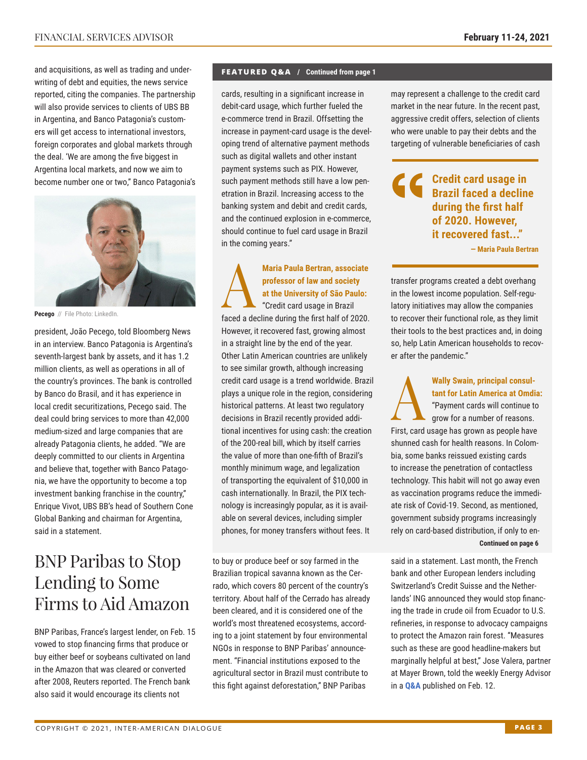and acquisitions, as well as trading and underwriting of debt and equities, the news service reported, citing the companies. The partnership will also provide services to clients of UBS BB in Argentina, and Banco Patagonia's customers will get access to international investors, foreign corporates and global markets through the deal. 'We are among the five biggest in Argentina local markets, and now we aim to become number one or two," Banco Patagonia's



Pecego // File Photo: LinkedIn.

president, João Pecego, told Bloomberg News in an interview. Banco Patagonia is Argentina's seventh-largest bank by assets, and it has 1.2 million clients, as well as operations in all of the country's provinces. The bank is controlled by Banco do Brasil, and it has experience in local credit securitizations, Pecego said. The deal could bring services to more than 42,000 medium-sized and large companies that are already Patagonia clients, he added. "We are deeply committed to our clients in Argentina and believe that, together with Banco Patagonia, we have the opportunity to become a top investment banking franchise in the country," Enrique Vivot, UBS BB's head of Southern Cone Global Banking and chairman for Argentina, said in a statement.

### BNP Paribas to Stop Lending to Some Firms to Aid Amazon

BNP Paribas, France's largest lender, on Feb. 15 vowed to stop financing firms that produce or buy either beef or soybeans cultivated on land in the Amazon that was cleared or converted after 2008, Reuters reported. The French bank also said it would encourage its clients not

#### **FEATURED Q&A / Continued from page 1**

cards, resulting in a significant increase in debit-card usage, which further fueled the e-commerce trend in Brazil. Offsetting the increase in payment-card usage is the developing trend of alternative payment methods such as digital wallets and other instant payment systems such as PIX. However, such payment methods still have a low penetration in Brazil. Increasing access to the banking system and debit and credit cards, and the continued explosion in e-commerce, should continue to fuel card usage in Brazil in the coming years."

### Maria Paula Bertran, associate<br>
professor of law and society<br>
at the University of São Paulo:<br>
"Credit card usage in Brazil<br>
food a dooline during the first helf of 2020. **professor of law and society at the University of São Paulo:**

"Credit card usage in Brazil faced a decline during the first half of 2020. However, it recovered fast, growing almost in a straight line by the end of the year. Other Latin American countries are unlikely to see similar growth, although increasing credit card usage is a trend worldwide. Brazil plays a unique role in the region, considering historical patterns. At least two regulatory decisions in Brazil recently provided additional incentives for using cash: the creation of the 200-real bill, which by itself carries the value of more than one-fifth of Brazil's monthly minimum wage, and legalization of transporting the equivalent of \$10,000 in cash internationally. In Brazil, the PIX technology is increasingly popular, as it is available on several devices, including simpler phones, for money transfers without fees. It

to buy or produce beef or soy farmed in the Brazilian tropical savanna known as the Cerrado, which covers 80 percent of the country's territory. About half of the Cerrado has already been cleared, and it is considered one of the world's most threatened ecosystems, according to a joint statement by four environmental NGOs in response to BNP Paribas' announcement. "Financial institutions exposed to the agricultural sector in Brazil must contribute to this fight against deforestation," BNP Paribas

may represent a challenge to the credit card market in the near future. In the recent past, aggressive credit offers, selection of clients who were unable to pay their debts and the targeting of vulnerable beneficiaries of cash

### **Credit card usage in Brazil faced a decline during the first half of 2020. However, it recovered fast..."**

**— Maria Paula Bertran** 

transfer programs created a debt overhang in the lowest income population. Self-regulatory initiatives may allow the companies to recover their functional role, as they limit their tools to the best practices and, in doing so, help Latin American households to recover after the pandemic."

Wally Swain, principal consultant for Latin America at Omdi<br>
"Payment cards will continue to grow for a number of reasons. **tant for Latin America at Omdia:** "Payment cards will continue to grow for a number of reasons.

First, card usage has grown as people have shunned cash for health reasons. In Colombia, some banks reissued existing cards to increase the penetration of contactless technology. This habit will not go away even as vaccination programs reduce the immediate risk of Covid-19. Second, as mentioned, government subsidy programs increasingly rely on card-based distribution, if only to en-**Continued on page 6** 

said in a statement. Last month, the French bank and other European lenders including Switzerland's Credit Suisse and the Netherlands' ING announced they would stop financing the trade in crude oil from Ecuador to U.S. refineries, in response to advocacy campaigns to protect the Amazon rain forest. "Measures such as these are good headline-makers but marginally helpful at best," Jose Valera, partner at Mayer Brown, told the weekly Energy Advisor in a **[Q&A](http://www.thedialogue.org/wp-content/uploads/2021/02/LEA210212.pdf)** published on Feb. 12.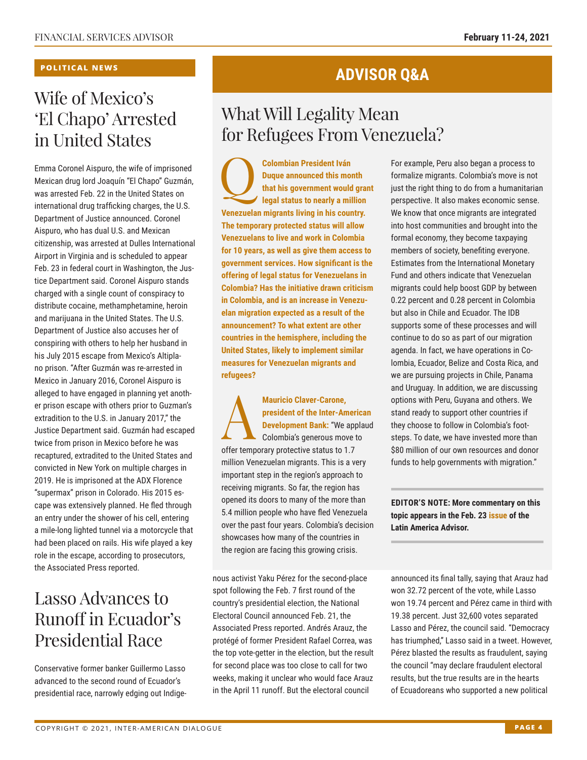#### **POLITICAL NEWS**

### Wife of Mexico's 'El Chapo' Arrested in United States

Emma Coronel Aispuro, the wife of imprisoned Mexican drug lord Joaquín "El Chapo" Guzmán, was arrested Feb. 22 in the United States on international drug trafficking charges, the U.S. Department of Justice announced. Coronel Aispuro, who has dual U.S. and Mexican citizenship, was arrested at Dulles International Airport in Virginia and is scheduled to appear Feb. 23 in federal court in Washington, the Justice Department said. Coronel Aispuro stands charged with a single count of conspiracy to distribute cocaine, methamphetamine, heroin and marijuana in the United States. The U.S. Department of Justice also accuses her of conspiring with others to help her husband in his July 2015 escape from Mexico's Altiplano prison. "After Guzmán was re-arrested in Mexico in January 2016, Coronel Aispuro is alleged to have engaged in planning yet another prison escape with others prior to Guzman's extradition to the U.S. in January 2017," the Justice Department said. Guzmán had escaped twice from prison in Mexico before he was recaptured, extradited to the United States and convicted in New York on multiple charges in 2019. He is imprisoned at the ADX Florence "supermax" prison in Colorado. His 2015 escape was extensively planned. He fled through an entry under the shower of his cell, entering a mile-long lighted tunnel via a motorcycle that had been placed on rails. His wife played a key role in the escape, according to prosecutors, the Associated Press reported.

### Lasso Advances to Runoff in Ecuador's Presidential Race

Conservative former banker Guillermo Lasso advanced to the second round of Ecuador's presidential race, narrowly edging out Indige-

### **ADVISOR Q&A**

### What Will Legality Mean for Refugees From Venezuela?

**legal status to nearly a million**<br> **legal status to nearly a million Duque announced this month that his government would grant Venezuelan migrants living in his country. The temporary protected status will allow Venezuelans to live and work in Colombia for 10 years, as well as give them access to government services. How significant is the offering of legal status for Venezuelans in Colombia? Has the initiative drawn criticism in Colombia, and is an increase in Venezuelan migration expected as a result of the announcement? To what extent are other countries in the hemisphere, including the United States, likely to implement similar measures for Venezuelan migrants and refugees?**

Mauricio Claver-Carone,<br>
president of the Inter-Am<br>
Development Bank: "We a<br>
Colombia's generous move **president of the Inter-American Development Bank:** "We applaud Colombia's generous move to offer temporary protective status to 1.7 million Venezuelan migrants. This is a very important step in the region's approach to receiving migrants. So far, the region has opened its doors to many of the more than 5.4 million people who have fled Venezuela over the past four years. Colombia's decision showcases how many of the countries in the region are facing this growing crisis.

nous activist Yaku Pérez for the second-place spot following the Feb. 7 first round of the country's presidential election, the National Electoral Council announced Feb. 21, the Associated Press reported. Andrés Arauz, the protégé of former President Rafael Correa, was the top vote-getter in the election, but the result for second place was too close to call for two weeks, making it unclear who would face Arauz in the April 11 runoff. But the electoral council

For example, Peru also began a process to formalize migrants. Colombia's move is not just the right thing to do from a humanitarian perspective. It also makes economic sense. We know that once migrants are integrated into host communities and brought into the formal economy, they become taxpaying members of society, benefiting everyone. Estimates from the International Monetary Fund and others indicate that Venezuelan migrants could help boost GDP by between 0.22 percent and 0.28 percent in Colombia but also in Chile and Ecuador. The IDB supports some of these processes and will continue to do so as part of our migration agenda. In fact, we have operations in Colombia, Ecuador, Belize and Costa Rica, and we are pursuing projects in Chile, Panama and Uruguay. In addition, we are discussing options with Peru, Guyana and others. We stand ready to support other countries if they choose to follow in Colombia's footsteps. To date, we have invested more than \$80 million of our own resources and donor funds to help governments with migration."

**EDITOR'S NOTE: More commentary on this topic appears in the Feb. 2[3 issue o](http://www.thedialogue.org/wp-content/uploads/2021/02/LAA210223.pdf)f the Latin America Advisor.**

announced its final tally, saying that Arauz had won 32.72 percent of the vote, while Lasso won 19.74 percent and Pérez came in third with 19.38 percent. Just 32,600 votes separated Lasso and Pérez, the council said. "Democracy has triumphed," Lasso said in a tweet. However, Pérez blasted the results as fraudulent, saying the council "may declare fraudulent electoral results, but the true results are in the hearts of Ecuadoreans who supported a new political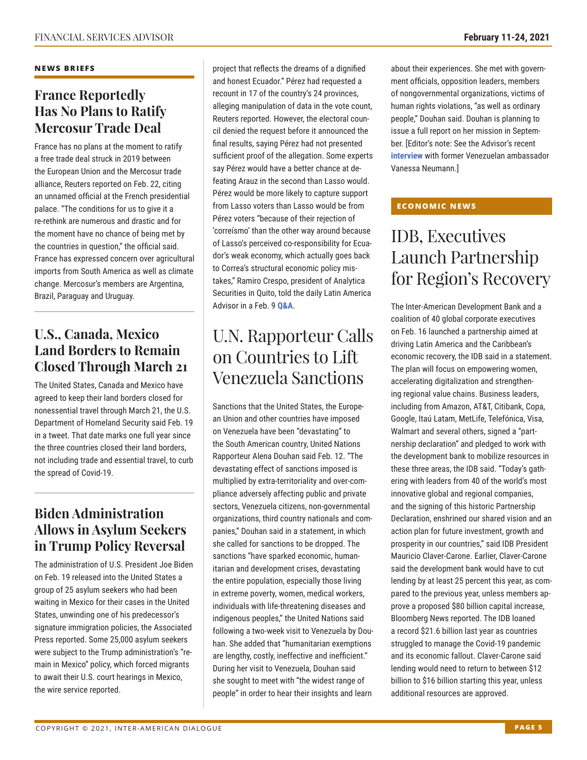#### **NEWS BRIEFS**

### **France Reportedly Has No Plans to Ratify Mercosur Trade Deal**

France has no plans at the moment to ratify a free trade deal struck in 2019 between the European Union and the Mercosur trade alliance, Reuters reported on Feb. 22, citing an unnamed official at the French presidential palace. "The conditions for us to give it a re-rethink are numerous and drastic and for the moment have no chance of being met by the countries in question," the official said. France has expressed concern over agricultural imports from South America as well as climate change. Mercosur's members are Argentina, Brazil, Paraguay and Uruguay.

### **U.S., Canada, Mexico Land Borders to Remain Closed Through March 21**

The United States, Canada and Mexico have agreed to keep their land borders closed for nonessential travel through March 21, the U.S. Department of Homeland Security said Feb. 19 in a tweet. That date marks one full year since the three countries closed their land borders, not including trade and essential travel, to curb the spread of Covid-19.

### **Biden Administration Allows in Asylum Seekers in Trump Policy Reversal**

The administration of U.S. President Joe Biden on Feb. 19 released into the United States a group of 25 asylum seekers who had been waiting in Mexico for their cases in the United States, unwinding one of his predecessor's signature immigration policies, the Associated Press reported. Some 25,000 asylum seekers were subject to the Trump administration's "remain in Mexico" policy, which forced migrants to await their U.S. court hearings in Mexico, the wire service reported.

project that reflects the dreams of a dignified and honest Ecuador." Pérez had requested a recount in 17 of the country's 24 provinces, alleging manipulation of data in the vote count, Reuters reported. However, the electoral council denied the request before it announced the final results, saying Pérez had not presented sufficient proof of the allegation. Some experts say Pérez would have a better chance at defeating Arauz in the second than Lasso would. Pérez would be more likely to capture support from Lasso voters than Lasso would be from Pérez voters "because of their rejection of 'correísmo' than the other way around because of Lasso's perceived co-responsibility for Ecuador's weak economy, which actually goes back to Correa's structural economic policy mistakes," Ramiro Crespo, president of Analytica Securities in Quito, told the daily Latin America Advisor in a Feb. 9 **[Q&A](http://www.thedialogue.org/wp-content/uploads/2021/02/LAA210209.pdf)**.

### U.N. Rapporteur Calls on Countries to Lift Venezuela Sanctions

Sanctions that the United States, the European Union and other countries have imposed on Venezuela have been "devastating" to the South American country, United Nations Rapporteur Alena Douhan said Feb. 12. "The devastating effect of sanctions imposed is multiplied by extra-territoriality and over-compliance adversely affecting public and private sectors, Venezuela citizens, non-governmental organizations, third country nationals and companies," Douhan said in a statement, in which she called for sanctions to be dropped. The sanctions "have sparked economic, humanitarian and development crises, devastating the entire population, especially those living in extreme poverty, women, medical workers, individuals with life-threatening diseases and indigenous peoples," the United Nations said following a two-week visit to Venezuela by Douhan. She added that "humanitarian exemptions are lengthy, costly, ineffective and inefficient." During her visit to Venezuela, Douhan said she sought to meet with "the widest range of people" in order to hear their insights and learn

about their experiences. She met with government officials, opposition leaders, members of nongovernmental organizations, victims of human rights violations, "as well as ordinary people," Douhan said. Douhan is planning to issue a full report on her mission in September. [Editor's note: See the Advisor's recent **interview** with former Venezuelan ambassador [Vanessa Neuma](https://www.youtube.com/watch?v=S6X90EUtV8M&feature=youtu.be)nn.]

#### **ECONOMIC NEWS**

### IDB, Executives Launch Partnership for Region's Recovery

The Inter-American Development Bank and a coalition of 40 global corporate executives on Feb. 16 launched a partnership aimed at driving Latin America and the Caribbean's economic recovery, the IDB said in a statement. The plan will focus on empowering women, accelerating digitalization and strengthening regional value chains. Business leaders, including from Amazon, AT&T, Citibank, Copa, Google, Itaú Latam, MetLife, Telefónica, Visa, Walmart and several others, signed a "partnership declaration" and pledged to work with the development bank to mobilize resources in these three areas, the IDB said. "Today's gathering with leaders from 40 of the world's most innovative global and regional companies, and the signing of this historic Partnership Declaration, enshrined our shared vision and an action plan for future investment, growth and prosperity in our countries," said IDB President Mauricio Claver-Carone. Earlier, Claver-Carone said the development bank would have to cut lending by at least 25 percent this year, as compared to the previous year, unless members approve a proposed \$80 billion capital increase, Bloomberg News reported. The IDB loaned a record \$21.6 billion last year as countries struggled to manage the Covid-19 pandemic and its economic fallout. Claver-Carone said lending would need to return to between \$12 billion to \$16 billion starting this year, unless additional resources are approved.